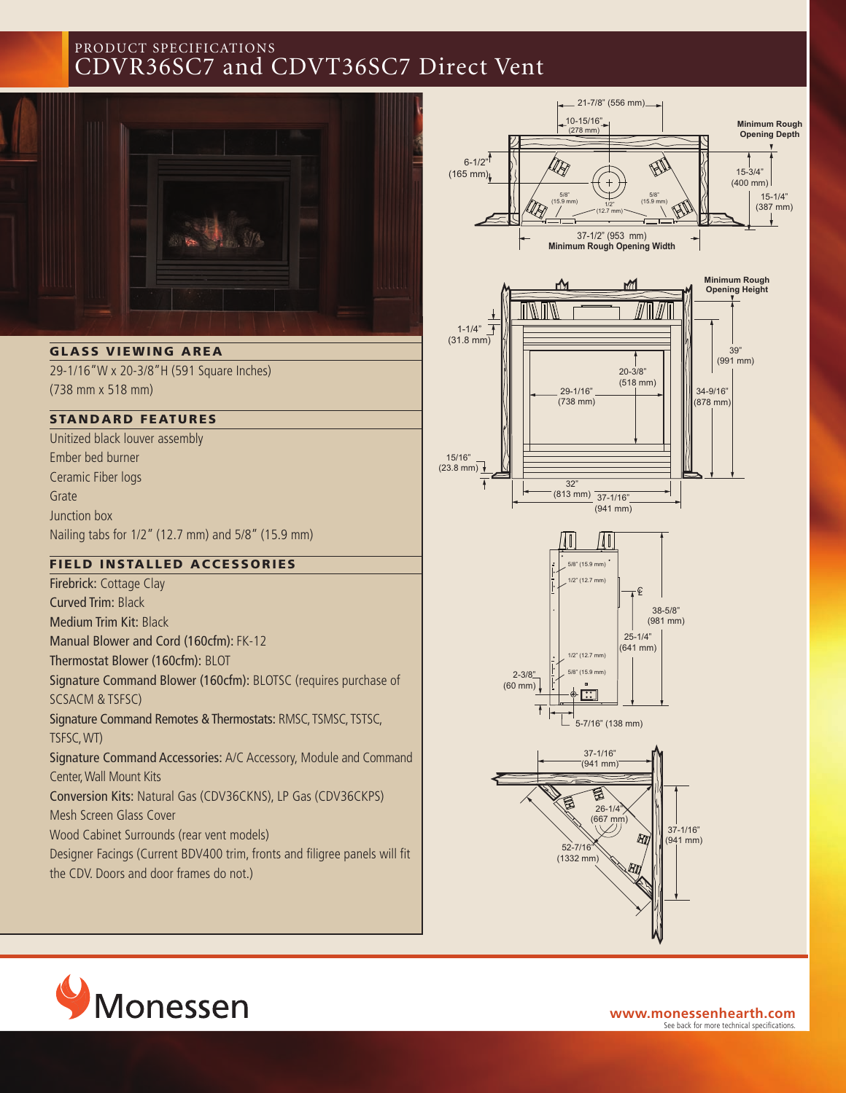# PRODUCT SPECIFICATIONS CDVR36SC7 and CDVT36SC7 Direct Vent



**GLASS VIEWING AREA**

29-1/16"W x 20-3/8"H (591 Square Inches) (738 mm x 518 mm)

#### **STANDARD FEATURES**

Unitized black louver assembly Ember bed burner Ceramic Fiber logs Grate Junction box Nailing tabs for 1/2" (12.7 mm) and 5/8" (15.9 mm)

#### **F IELD INSTAL LED ACCESSORIES**

Firebrick: Cottage Clay Curved Trim: Black Medium Trim Kit: Black Manual Blower and Cord (160cfm): FK-12 Thermostat Blower (160cfm): BLOT Signature Command Blower (160cfm): BLOTSC (requires purchase of SCSACM & TSFSC) Signature Command Remotes & Thermostats: RMSC, TSMSC, TSTSC, TSFSC,WT) Signature Command Accessories: A/C Accessory, Module and Command Center,Wall Mount Kits Conversion Kits: Natural Gas (CDV36CKNS), LP Gas (CDV36CKPS) Mesh Screen Glass Cover Wood Cabinet Surrounds (rear vent models) Designer Facings (Current BDV400 trim, fronts and filigree panels will fit

the CDV. Doors and door frames do not.)